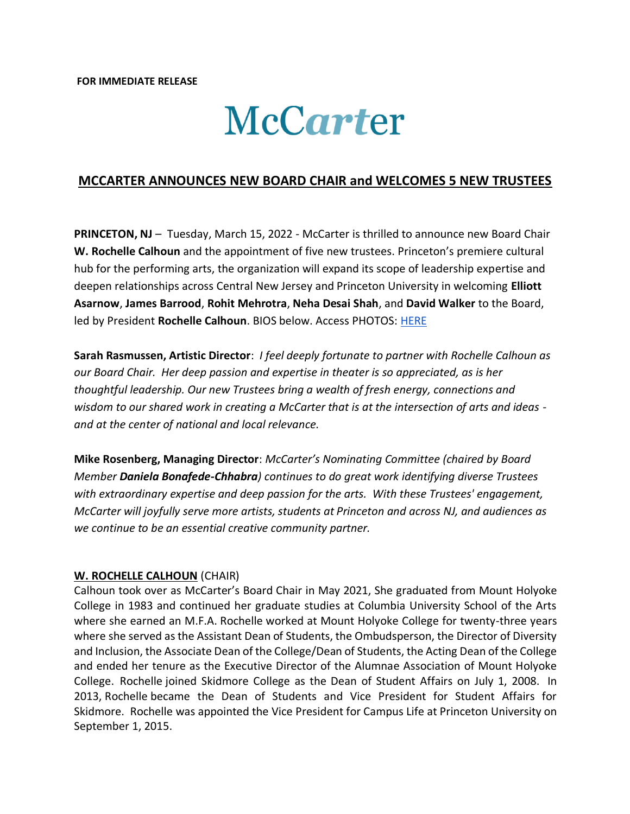# McCarter

## **MCCARTER ANNOUNCES NEW BOARD CHAIR and WELCOMES 5 NEW TRUSTEES**

**PRINCETON, NJ** - Tuesday, March 15, 2022 - McCarter is thrilled to announce new Board Chair **W. Rochelle Calhoun** and the appointment of five new trustees. Princeton's premiere cultural hub for the performing arts, the organization will expand its scope of leadership expertise and deepen relationships across Central New Jersey and Princeton University in welcoming **Elliott Asarnow**, **James Barrood**, **Rohit Mehrotra**, **Neha Desai Shah**, and **David Walker** to the Board, led by President **Rochelle Calhoun**. BIOS below. Access PHOTOS: [HERE](https://drive.google.com/drive/folders/1ZRIYN_IqtG4utnc2J6mnpzOUzdkdUS3b)

**Sarah Rasmussen, Artistic Director**: *I feel deeply fortunate to partner with Rochelle Calhoun as our Board Chair. Her deep passion and expertise in theater is so appreciated, as is her thoughtful leadership. Our new Trustees bring a wealth of fresh energy, connections and wisdom to our shared work in creating a McCarter that is at the intersection of arts and ideas and at the center of national and local relevance.* 

**Mike Rosenberg, Managing Director**: *McCarter's Nominating Committee (chaired by Board Member Daniela Bonafede-Chhabra) continues to do great work identifying diverse Trustees with extraordinary expertise and deep passion for the arts. With these Trustees' engagement, McCarter will joyfully serve more artists, students at Princeton and across NJ, and audiences as we continue to be an essential creative community partner.*

#### **W. ROCHELLE CALHOUN** (CHAIR)

Calhoun took over as McCarter's Board Chair in May 2021, She graduated from Mount Holyoke College in 1983 and continued her graduate studies at Columbia University School of the Arts where she earned an M.F.A. Rochelle worked at Mount Holyoke College for twenty-three years where she served as the Assistant Dean of Students, the Ombudsperson, the Director of Diversity and Inclusion, the Associate Dean of the College/Dean of Students, the Acting Dean of the College and ended her tenure as the Executive Director of the Alumnae Association of Mount Holyoke College. Rochelle joined Skidmore College as the Dean of Student Affairs on July 1, 2008. In 2013, Rochelle became the Dean of Students and Vice President for Student Affairs for Skidmore. Rochelle was appointed the Vice President for Campus Life at Princeton University on September 1, 2015.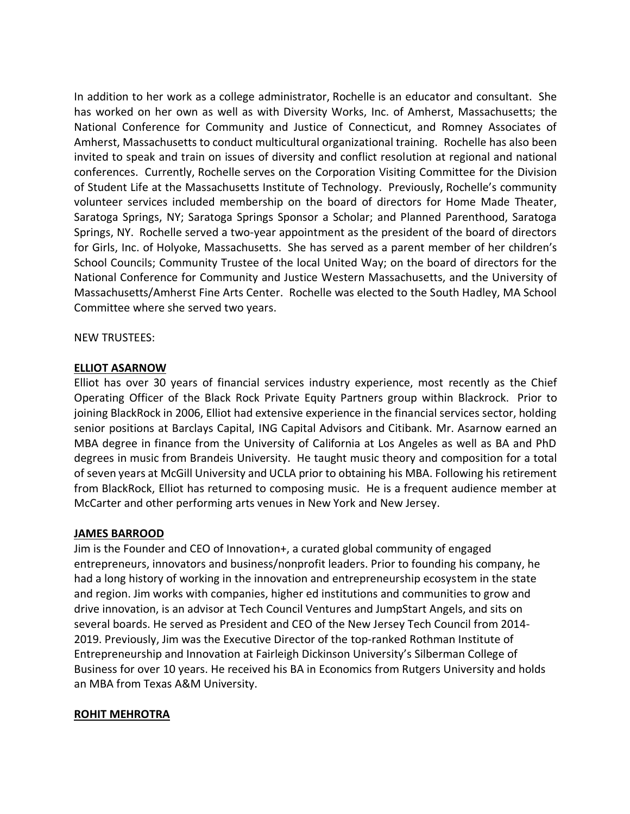In addition to her work as a college administrator, Rochelle is an educator and consultant. She has worked on her own as well as with Diversity Works, Inc. of Amherst, Massachusetts; the National Conference for Community and Justice of Connecticut, and Romney Associates of Amherst, Massachusetts to conduct multicultural organizational training. Rochelle has also been invited to speak and train on issues of diversity and conflict resolution at regional and national conferences. Currently, Rochelle serves on the Corporation Visiting Committee for the Division of Student Life at the Massachusetts Institute of Technology. Previously, Rochelle's community volunteer services included membership on the board of directors for Home Made Theater, Saratoga Springs, NY; Saratoga Springs Sponsor a Scholar; and Planned Parenthood, Saratoga Springs, NY. Rochelle served a two-year appointment as the president of the board of directors for Girls, Inc. of Holyoke, Massachusetts. She has served as a parent member of her children's School Councils; Community Trustee of the local United Way; on the board of directors for the National Conference for Community and Justice Western Massachusetts, and the University of Massachusetts/Amherst Fine Arts Center. Rochelle was elected to the South Hadley, MA School Committee where she served two years.

#### NEW TRUSTEES:

#### **ELLIOT ASARNOW**

Elliot has over 30 years of financial services industry experience, most recently as the Chief Operating Officer of the Black Rock Private Equity Partners group within Blackrock. Prior to joining BlackRock in 2006, Elliot had extensive experience in the financial services sector, holding senior positions at Barclays Capital, ING Capital Advisors and Citibank. Mr. Asarnow earned an MBA degree in finance from the University of California at Los Angeles as well as BA and PhD degrees in music from Brandeis University. He taught music theory and composition for a total of seven years at McGill University and UCLA prior to obtaining his MBA. Following his retirement from BlackRock, Elliot has returned to composing music. He is a frequent audience member at McCarter and other performing arts venues in New York and New Jersey.

### **JAMES BARROOD**

Jim is the Founder and CEO of Innovation+, a curated global community of engaged entrepreneurs, innovators and business/nonprofit leaders. Prior to founding his company, he had a long history of working in the innovation and entrepreneurship ecosystem in the state and region. Jim works with companies, higher ed institutions and communities to grow and drive innovation, is an advisor at Tech Council Ventures and JumpStart Angels, and sits on several boards. He served as President and CEO of the New Jersey Tech Council from 2014- 2019. Previously, Jim was the Executive Director of the top-ranked Rothman Institute of Entrepreneurship and Innovation at Fairleigh Dickinson University's Silberman College of Business for over 10 years. He received his BA in Economics from Rutgers University and holds an MBA from Texas A&M University.

### **ROHIT MEHROTRA**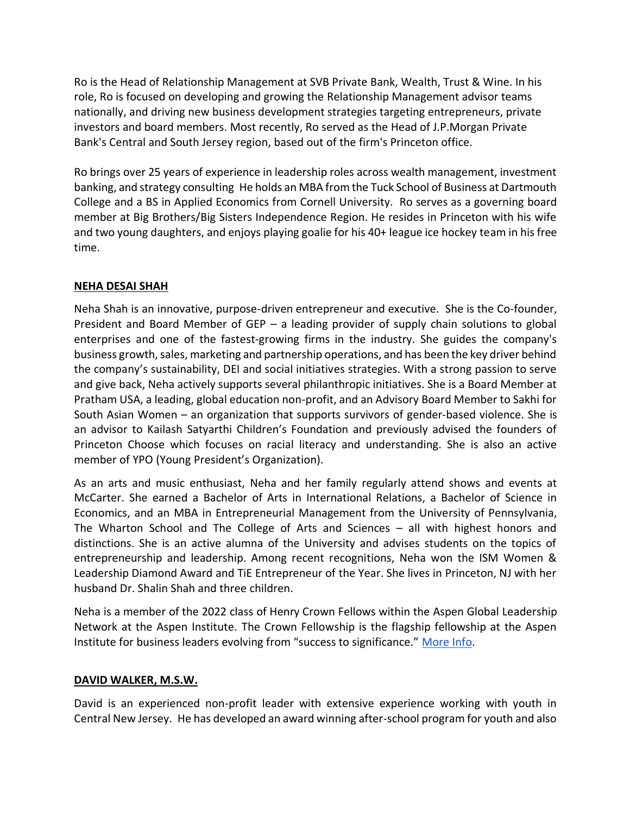Ro is the Head of Relationship Management at SVB Private Bank, Wealth, Trust & Wine. In his role, Ro is focused on developing and growing the Relationship Management advisor teams nationally, and driving new business development strategies targeting entrepreneurs, private investors and board members. Most recently, Ro served as the Head of J.P.Morgan Private Bank's Central and South Jersey region, based out of the firm's Princeton office.

Ro brings over 25 years of experience in leadership roles across wealth management, investment banking, and strategy consulting He holds an MBA from the Tuck School of Business at Dartmouth College and a BS in Applied Economics from Cornell University. Ro serves as a governing board member at Big Brothers/Big Sisters Independence Region. He resides in Princeton with his wife and two young daughters, and enjoys playing goalie for his 40+ league ice hockey team in his free time.

# **NEHA DESAI SHAH**

Neha Shah is an innovative, purpose-driven entrepreneur and executive. She is the Co-founder, President and Board Member of GEP – a leading provider of supply chain solutions to global enterprises and one of the fastest-growing firms in the industry. She guides the company's business growth, sales, marketing and partnership operations, and has been the key driver behind the company's sustainability, DEI and social initiatives strategies. With a strong passion to serve and give back, Neha actively supports several philanthropic initiatives. She is a Board Member at Pratham USA, a leading, global education non-profit, and an Advisory Board Member to Sakhi for South Asian Women – an organization that supports survivors of gender-based violence. She is an advisor to Kailash Satyarthi Children's Foundation and previously advised the founders of Princeton Choose which focuses on racial literacy and understanding. She is also an active member of YPO (Young President's Organization).

As an arts and music enthusiast, Neha and her family regularly attend shows and events at McCarter. She earned a Bachelor of Arts in International Relations, a Bachelor of Science in Economics, and an MBA in Entrepreneurial Management from the University of Pennsylvania, The Wharton School and The College of Arts and Sciences – all with highest honors and distinctions. She is an active alumna of the University and advises students on the topics of entrepreneurship and leadership. Among recent recognitions, Neha won the ISM Women & Leadership Diamond Award and TiE Entrepreneur of the Year. She lives in Princeton, NJ with her husband Dr. Shalin Shah and three children.

Neha is a member of the 2022 class of Henry Crown Fellows within the Aspen Global Leadership Network at the Aspen Institute. The Crown Fellowship is the flagship fellowship at the Aspen Institute for business leaders evolving from "success to significance." [More Info.](https://agln.aspeninstitute.org/fellowships/henrycrown/classes/XXV)

### **DAVID WALKER, M.S.W.**

David is an experienced non-profit leader with extensive experience working with youth in Central New Jersey. He has developed an award winning after-school program for youth and also